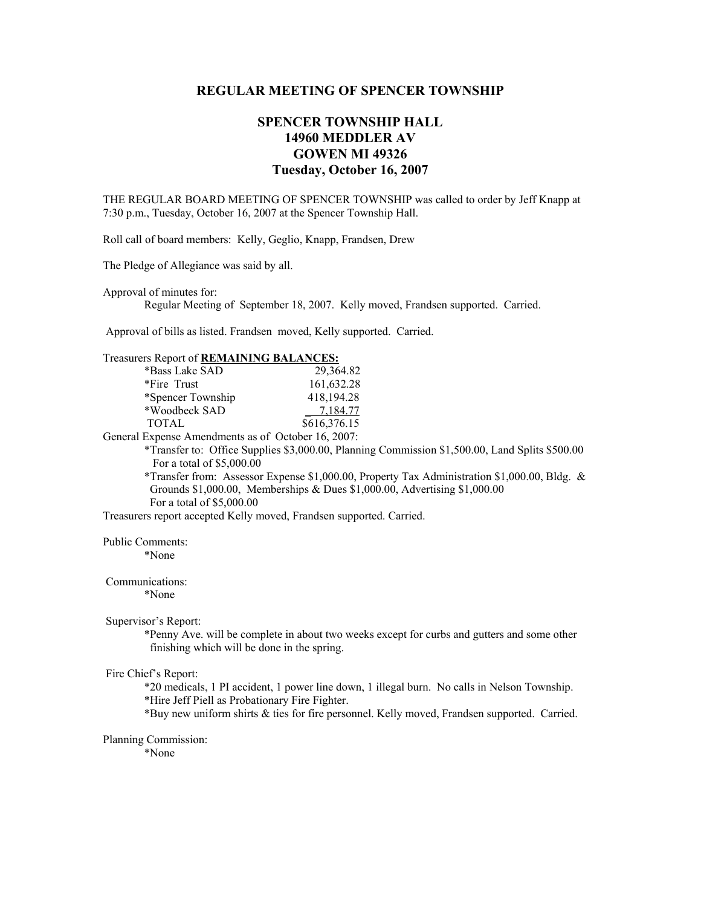# **REGULAR MEETING OF SPENCER TOWNSHIP**

# **SPENCER TOWNSHIP HALL 14960 MEDDLER AV GOWEN MI 49326 Tuesday, October 16, 2007**

THE REGULAR BOARD MEETING OF SPENCER TOWNSHIP was called to order by Jeff Knapp at 7:30 p.m., Tuesday, October 16, 2007 at the Spencer Township Hall.

Roll call of board members: Kelly, Geglio, Knapp, Frandsen, Drew

The Pledge of Allegiance was said by all.

Approval of minutes for:

Regular Meeting of September 18, 2007. Kelly moved, Frandsen supported. Carried.

Approval of bills as listed. Frandsen moved, Kelly supported. Carried.

## Treasurers Report of **REMAINING BALANCES:**

| *Bass Lake SAD    | 29,364.82    |
|-------------------|--------------|
| *Fire Trust       | 161,632.28   |
| *Spencer Township | 418,194.28   |
| *Woodbeck SAD     | 7,184.77     |
| TOTAL             | \$616,376.15 |
|                   |              |

General Expense Amendments as of October 16, 2007:

 \*Transfer to: Office Supplies \$3,000.00, Planning Commission \$1,500.00, Land Splits \$500.00 For a total of \$5,000.00

 \*Transfer from: Assessor Expense \$1,000.00, Property Tax Administration \$1,000.00, Bldg. & Grounds \$1,000.00, Memberships & Dues \$1,000.00, Advertising \$1,000.00 For a total of \$5,000.00

Treasurers report accepted Kelly moved, Frandsen supported. Carried.

Public Comments:

\*None

Communications:

\*None

#### Supervisor's Report:

 \*Penny Ave. will be complete in about two weeks except for curbs and gutters and some other finishing which will be done in the spring.

#### Fire Chief's Report:

 \*20 medicals, 1 PI accident, 1 power line down, 1 illegal burn. No calls in Nelson Township. \*Hire Jeff Piell as Probationary Fire Fighter.

\*Buy new uniform shirts & ties for fire personnel. Kelly moved, Frandsen supported. Carried.

#### Planning Commission:

\*None